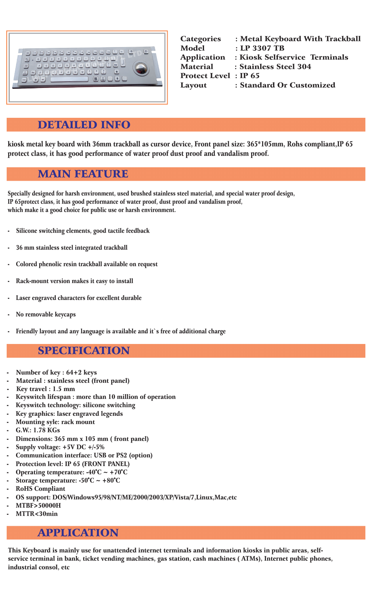## DETAILED INFO

kiosk metal key board with 36mm trackball as cursor device, Front panel size: 365\*105mm, Rohs compliant,IP 65 protect class, it has good performance of water proof dust proof and vandalism proof.

## MAIN FEATURE

## SPECIFICATION

Specially designed for harsh environment, used brushed stainless steel material, and special water proof design, IP 65protect class, it has good performance of water proof, dust proof and vandalism proof, which make it a good choice for public use or harsh environment.

- Silicone switching elements, good tactile feedback
- 36 mm stainless steel integrated trackball
- Colored phenolic resin trackball available on request
- Rack-mount version makes it easy to install
- Laser engraved characters for excellent durable
- No removable keycaps
- Friendly layout and any language is available and it's free of additional charge

- Number of key : 64+2 keys
- Material : stainless steel (front panel)
- 
- Key travel : 1.5 mm
- Keyswitch lifespan : more than 10 million of operation
- Keyswitch technology: silicone switching
- Key graphics: laser engraved legends
- Mounting syle: rack mount
- G.W.: 1.78 KGs
- Dimensions: 365 mm x 105 mm (front panel)
- Supply voltage:  $+5V$  DC  $+/-5\%$
- Communication interface: USB or PS2 (option)
- Protection level: IP 65 (FRONT PANEL)
- Operating temperature:  $-40^{\circ}C \sim +70^{\circ}C$
- Storage temperature:  $-50^{\circ}$ C ~  $+80^{\circ}$ C
- RoHS Compliant
- OS support: DOS/Windows95/98/NT/ME/2000/2003/XP/Vista/7,Linux,Mac,etc
- MTBF>50000H
- MTTR<30min

## APPLICATION

This Keyboard is mainly use for unattended internet terminals and information kiosks in public areas, selfservice terminal in bank, ticket vending machines, gas station, cash machines ( ATMs), Internet public phones, industrial consol, etc

| <b>Categories</b>            | : Metal Keyboard With Trackball |
|------------------------------|---------------------------------|
| <b>Model</b>                 | : LP 3307 TB                    |
| <b>Application</b>           | : Kiosk Selfservice Terminals   |
| <b>Material</b>              | : Stainless Steel 304           |
| <b>Protect Level</b> : IP 65 |                                 |
| Layout                       | : Standard Or Customized        |